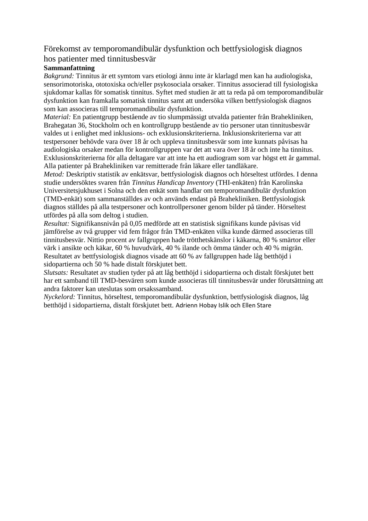# Förekomst av temporomandibulär dysfunktion och bettfysiologisk diagnos

## hos patienter med tinnitusbesvär

#### **Sammanfattning**

*Bakgrund:* Tinnitus är ett symtom vars etiologi ännu inte är klarlagd men kan ha audiologiska, sensorimotoriska, ototoxiska och/eller psykosociala orsaker. Tinnitus associerad till fysiologiska sjukdomar kallas för somatisk tinnitus. Syftet med studien är att ta reda på om temporomandibulär dysfunktion kan framkalla somatisk tinnitus samt att undersöka vilken bettfysiologisk diagnos som kan associeras till temporomandibulär dysfunktion.

*Material:* En patientgrupp bestående av tio slumpmässigt utvalda patienter från Brahekliniken, Brahegatan 36, Stockholm och en kontrollgrupp bestående av tio personer utan tinnitusbesvär valdes ut i enlighet med inklusions- och exklusionskriterierna. Inklusionskriterierna var att testpersoner behövde vara över 18 år och uppleva tinnitusbesvär som inte kunnats påvisas ha audiologiska orsaker medan för kontrollgruppen var det att vara över 18 år och inte ha tinnitus. Exklusionskriterierna för alla deltagare var att inte ha ett audiogram som var högst ett år gammal. Alla patienter på Brahekliniken var remitterade från läkare eller tandläkare.

*Metod:* Deskriptiv statistik av enkätsvar, bettfysiologisk diagnos och hörseltest utfördes. I denna studie undersöktes svaren från *Tinnitus Handicap Inventory* (THI-enkäten) från Karolinska Universitetsjukhuset i Solna och den enkät som handlar om temporomandibulär dysfunktion (TMD-enkät) som sammanställdes av och används endast på Brahekliniken. Bettfysiologisk diagnos ställdes på alla testpersoner och kontrollpersoner genom bilder på tänder. Hörseltest utfördes på alla som deltog i studien.

*Resultat:* Signifikansnivån på 0,05 medförde att en statistisk signifikans kunde påvisas vid jämförelse av två grupper vid fem frågor från TMD-enkäten vilka kunde därmed associeras till tinnitusbesvär. Nittio procent av fallgruppen hade trötthetskänslor i käkarna, 80 % smärtor eller värk i ansikte och käkar, 60 % huvudvärk, 40 % ilande och ömma tänder och 40 % migrän. Resultatet av bettfysiologisk diagnos visade att 60 % av fallgruppen hade låg betthöjd i sidopartierna och 50 % hade distalt förskjutet bett.

*Slutsats:* Resultatet av studien tyder på att låg betthöjd i sidopartierna och distalt förskjutet bett har ett samband till TMD-besvären som kunde associeras till tinnitusbesvär under förutsättning att andra faktorer kan uteslutas som orsakssamband.

*Nyckelord:* Tinnitus, hörseltest, temporomandibulär dysfunktion, bettfysiologisk diagnos, låg betthöjd i sidopartierna, distalt förskjutet bett. Adrienn Hobay Islik och Ellen Stare